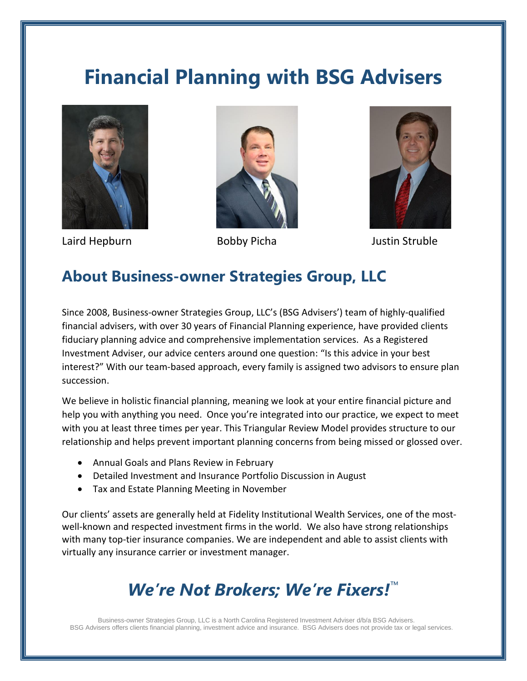# **Financial Planning with BSG Advisers**



Laird Hepburn Bobby Picha Justin Struble





### **About Business-owner Strategies Group, LLC**

Since 2008, Business-owner Strategies Group, LLC's (BSG Advisers') team of highly-qualified financial advisers, with over 30 years of Financial Planning experience, have provided clients fiduciary planning advice and comprehensive implementation services. As a Registered Investment Adviser, our advice centers around one question: "Is this advice in your best interest?" With our team-based approach, every family is assigned two advisors to ensure plan succession.

We believe in holistic financial planning, meaning we look at your entire financial picture and help you with anything you need. Once you're integrated into our practice, we expect to meet with you at least three times per year. This Triangular Review Model provides structure to our relationship and helps prevent important planning concerns from being missed or glossed over.

- Annual Goals and Plans Review in February
- Detailed Investment and Insurance Portfolio Discussion in August
- Tax and Estate Planning Meeting in November

Our clients' assets are generally held at Fidelity Institutional Wealth Services, one of the mostwell-known and respected investment firms in the world. We also have strong relationships with many top-tier insurance companies. We are independent and able to assist clients with virtually any insurance carrier or investment manager.

# *We're Not Brokers; We're Fixers!*™

Business-owner Strategies Group, LLC is a North Carolina Registered Investment Adviser d/b/a BSG Advisers. BSG Advisers offers clients financial planning, investment advice and insurance. BSG Advisers does not provide tax or legal services.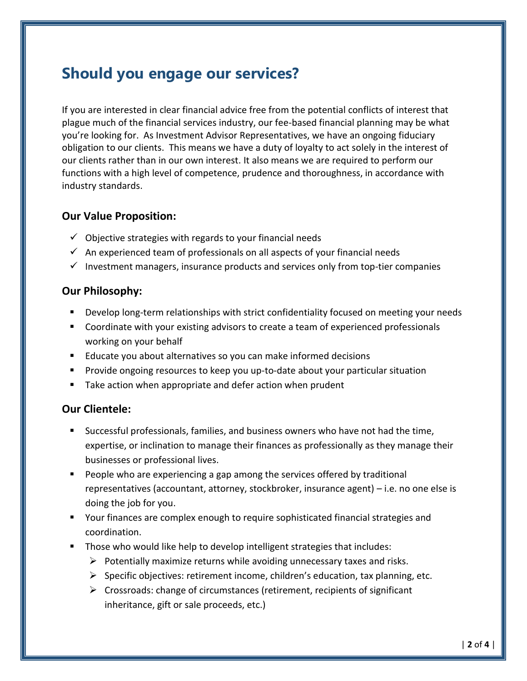### **Should you engage our services?**

If you are interested in clear financial advice free from the potential conflicts of interest that plague much of the financial services industry, our fee-based financial planning may be what you're looking for. As Investment Advisor Representatives, we have an ongoing fiduciary obligation to our clients. This means we have a duty of loyalty to act solely in the interest of our clients rather than in our own interest. It also means we are required to perform our functions with a high level of competence, prudence and thoroughness, in accordance with industry standards.

#### **Our Value Proposition:**

- $\checkmark$  Objective strategies with regards to your financial needs
- $\checkmark$  An experienced team of professionals on all aspects of your financial needs
- $\checkmark$  Investment managers, insurance products and services only from top-tier companies

#### **Our Philosophy:**

- **■** Develop long-term relationships with strict confidentiality focused on meeting your needs
- Coordinate with your existing advisors to create a team of experienced professionals working on your behalf
- Educate you about alternatives so you can make informed decisions
- Provide ongoing resources to keep you up-to-date about your particular situation
- Take action when appropriate and defer action when prudent

#### **Our Clientele:**

- **EXEC** Successful professionals, families, and business owners who have not had the time, expertise, or inclination to manage their finances as professionally as they manage their businesses or professional lives.
- People who are experiencing a gap among the services offered by traditional representatives (accountant, attorney, stockbroker, insurance agent) – i.e. no one else is doing the job for you.
- Your finances are complex enough to require sophisticated financial strategies and coordination.
- Those who would like help to develop intelligent strategies that includes:
	- $\triangleright$  Potentially maximize returns while avoiding unnecessary taxes and risks.
	- $\triangleright$  Specific objectives: retirement income, children's education, tax planning, etc.
	- $\triangleright$  Crossroads: change of circumstances (retirement, recipients of significant inheritance, gift or sale proceeds, etc.)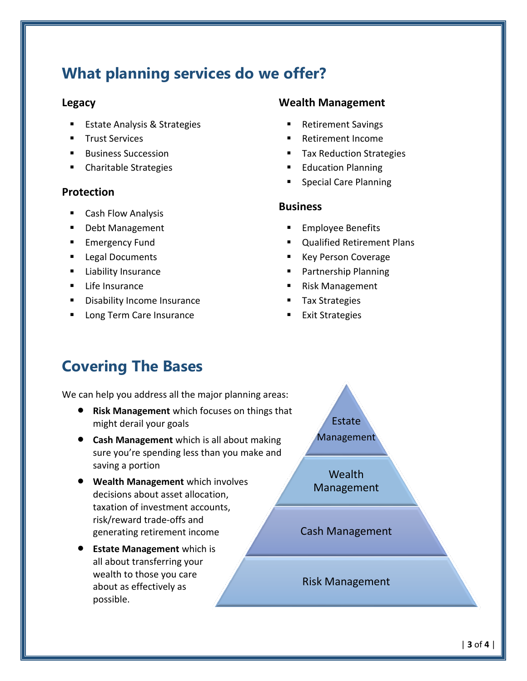### **What planning services do we offer?**

### **Legacy**

- **Estate Analysis & Strategies**
- **Trust Services**
- **Business Succession**
- Charitable Strategies

### **Protection**

- Cash Flow Analysis
- Debt Management
- **E** Emergency Fund
- Legal Documents
- **E** Liability Insurance
- Life Insurance
- **■** Disability Income Insurance
- Long Term Care Insurance

### **Wealth Management**

- Retirement Savings
- Retirement Income
- Tax Reduction Strategies
- Education Planning
- Special Care Planning

### **Business**

- Employee Benefits
- **Qualified Retirement Plans**
- Key Person Coverage
- Partnership Planning
- Risk Management
- Tax Strategies
- Exit Strategies

## **Covering The Bases**

We can help you address all the major planning areas:

- **Risk Management** which focuses on things that might derail your goals
- **Cash Management** which is all about making sure you're spending less than you make and saving a portion
- **Wealth Management** which involves decisions about asset allocation, taxation of investment accounts, risk/reward trade-offs and generating retirement income
- **Estate Management** which is all about transferring your wealth to those you care about as effectively as possible.